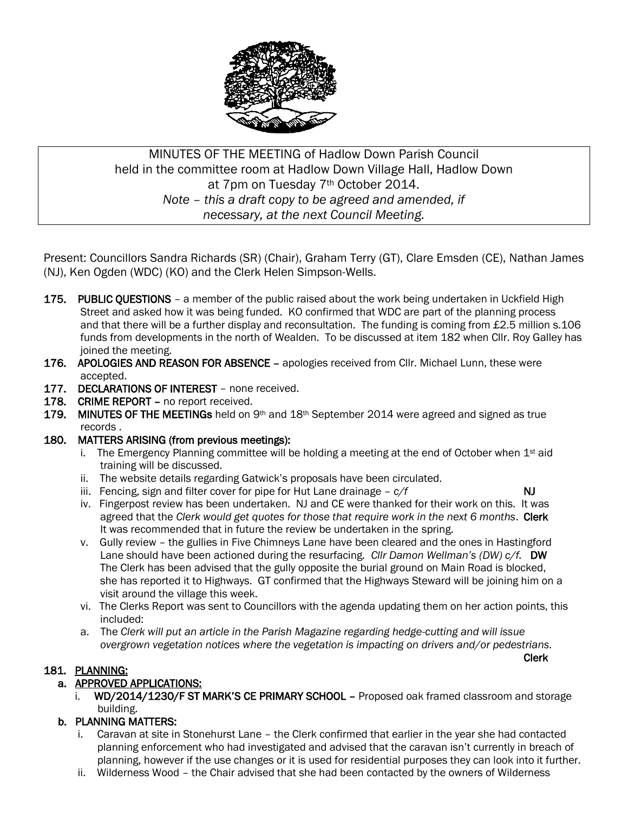

# MINUTES OF THE MEETING of Hadlow Down Parish Council held in the committee room at Hadlow Down Village Hall, Hadlow Down at 7pm on Tuesday 7th October 2014. *Note – this a draft copy to be agreed and amended, if necessary, at the next Council Meeting.*

Present: Councillors Sandra Richards (SR) (Chair), Graham Terry (GT), Clare Emsden (CE), Nathan James (NJ), Ken Ogden (WDC) (KO) and the Clerk Helen Simpson-Wells.

- 175. PUBLIC QUESTIONS a member of the public raised about the work being undertaken in Uckfield High Street and asked how it was being funded. KO confirmed that WDC are part of the planning process and that there will be a further display and reconsultation. The funding is coming from £2.5 million s.106 funds from developments in the north of Wealden. To be discussed at item 182 when Cllr. Roy Galley has joined the meeting.
- 176. APOLOGIES AND REASON FOR ABSENCE apologies received from Cllr. Michael Lunn, these were accepted.
- 177. DECLARATIONS OF INTEREST none received.
- 178. CRIME REPORT no report received.
- 179. MINUTES OF THE MEETINGs held on  $9<sup>th</sup>$  and  $18<sup>th</sup>$  September 2014 were agreed and signed as true records .
- 180. MATTERS ARISING (from previous meetings):
	- i. The Emergency Planning committee will be holding a meeting at the end of October when  $1<sup>st</sup>$  aid training will be discussed.
	- ii. The website details regarding Gatwick's proposals have been circulated.
	- iii. Fencing, sign and filter cover for pipe for Hut Lane drainage  $-c/f$  NJ
- 

Clerk

- iv. Fingerpost review has been undertaken. NJ and CE were thanked for their work on this. It was agreed that the *Clerk would get quotes for those that require work in the next 6 months*. Clerk It was recommended that in future the review be undertaken in the spring.
- v. Gully review the gullies in Five Chimneys Lane have been cleared and the ones in Hastingford Lane should have been actioned during the resurfacing*. Cllr Damon Wellman's (DW) c/f.* DW The Clerk has been advised that the gully opposite the burial ground on Main Road is blocked, she has reported it to Highways. GT confirmed that the Highways Steward will be joining him on a visit around the village this week.
- vi. The Clerks Report was sent to Councillors with the agenda updating them on her action points, this included:
- a. The *Clerk will put an article in the Parish Magazine regarding hedge-cutting and will issue overgrown vegetation notices where the vegetation is impacting on drivers and/or pedestrians.*

#### 181. PLANNING:

# a. APPROVED APPLICATIONS:

i. WD/2014/1230/F ST MARK'S CE PRIMARY SCHOOL – Proposed oak framed classroom and storage building.

# b. PLANNING MATTERS:

- i. Caravan at site in Stonehurst Lane the Clerk confirmed that earlier in the year she had contacted planning enforcement who had investigated and advised that the caravan isn't currently in breach of planning, however if the use changes or it is used for residential purposes they can look into it further.
- ii. Wilderness Wood the Chair advised that she had been contacted by the owners of Wilderness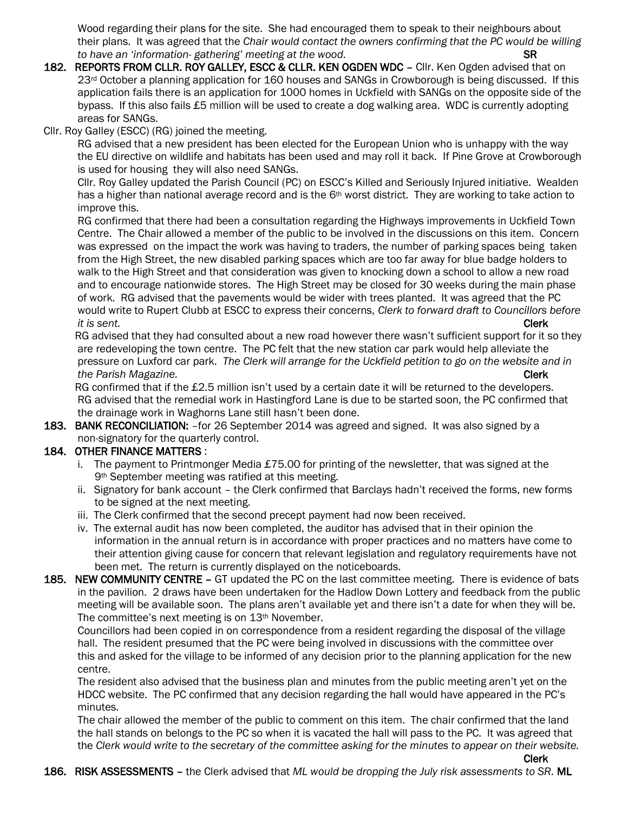Wood regarding their plans for the site. She had encouraged them to speak to their neighbours about their plans. It was agreed that the *Chair would contact the owners confirming that the PC would be willing to have an 'information- gathering' meeting at the wood*. SR

- 182. REPORTS FROM CLLR. ROY GALLEY, ESCC & CLLR. KEN OGDEN WDC Cllr. Ken Ogden advised that on 23<sup>rd</sup> October a planning application for 160 houses and SANGs in Crowborough is being discussed. If this application fails there is an application for 1000 homes in Uckfield with SANGs on the opposite side of the bypass. If this also fails £5 million will be used to create a dog walking area. WDC is currently adopting areas for SANGs.
- Cllr. Roy Galley (ESCC) (RG) joined the meeting.

 RG advised that a new president has been elected for the European Union who is unhappy with the way the EU directive on wildlife and habitats has been used and may roll it back. If Pine Grove at Crowborough is used for housing they will also need SANGs.

 Cllr. Roy Galley updated the Parish Council (PC) on ESCC's Killed and Seriously Injured initiative. Wealden has a higher than national average record and is the 6<sup>th</sup> worst district. They are working to take action to improve this.

 RG confirmed that there had been a consultation regarding the Highways improvements in Uckfield Town Centre. The Chair allowed a member of the public to be involved in the discussions on this item. Concern was expressed on the impact the work was having to traders, the number of parking spaces being taken from the High Street, the new disabled parking spaces which are too far away for blue badge holders to walk to the High Street and that consideration was given to knocking down a school to allow a new road and to encourage nationwide stores. The High Street may be closed for 30 weeks during the main phase of work. RG advised that the pavements would be wider with trees planted. It was agreed that the PC would write to Rupert Clubb at ESCC to express their concerns, *Clerk to forward draft to Councillors before it is sent.* **Clerk** 

 RG advised that they had consulted about a new road however there wasn't sufficient support for it so they are redeveloping the town centre. The PC felt that the new station car park would help alleviate the pressure on Luxford car park. *The Clerk will arrange for the Uckfield petition to go on the website and in the Parish Magazine.* Clerk

 RG confirmed that if the £2.5 million isn't used by a certain date it will be returned to the developers. RG advised that the remedial work in Hastingford Lane is due to be started soon, the PC confirmed that the drainage work in Waghorns Lane still hasn't been done.

183. BANK RECONCILIATION: -for 26 September 2014 was agreed and signed. It was also signed by a non-signatory for the quarterly control.

#### 184. OTHER FINANCE MATTERS :

- i. The payment to Printmonger Media  $£75.00$  for printing of the newsletter, that was signed at the 9<sup>th</sup> September meeting was ratified at this meeting.
- ii. Signatory for bank account the Clerk confirmed that Barclays hadn't received the forms, new forms to be signed at the next meeting.
- iii. The Clerk confirmed that the second precept payment had now been received.
- iv. The external audit has now been completed, the auditor has advised that in their opinion the information in the annual return is in accordance with proper practices and no matters have come to their attention giving cause for concern that relevant legislation and regulatory requirements have not been met. The return is currently displayed on the noticeboards.
- 185. NEW COMMUNITY CENTRE GT updated the PC on the last committee meeting. There is evidence of bats in the pavilion. 2 draws have been undertaken for the Hadlow Down Lottery and feedback from the public meeting will be available soon. The plans aren't available yet and there isn't a date for when they will be. The committee's next meeting is on 13th November.

 Councillors had been copied in on correspondence from a resident regarding the disposal of the village hall. The resident presumed that the PC were being involved in discussions with the committee over this and asked for the village to be informed of any decision prior to the planning application for the new centre.

 The resident also advised that the business plan and minutes from the public meeting aren't yet on the HDCC website. The PC confirmed that any decision regarding the hall would have appeared in the PC's minutes.

 The chair allowed the member of the public to comment on this item. The chair confirmed that the land the hall stands on belongs to the PC so when it is vacated the hall will pass to the PC. It was agreed that the *Clerk would write to the secretary of the committee asking for the minutes to appear on their website.*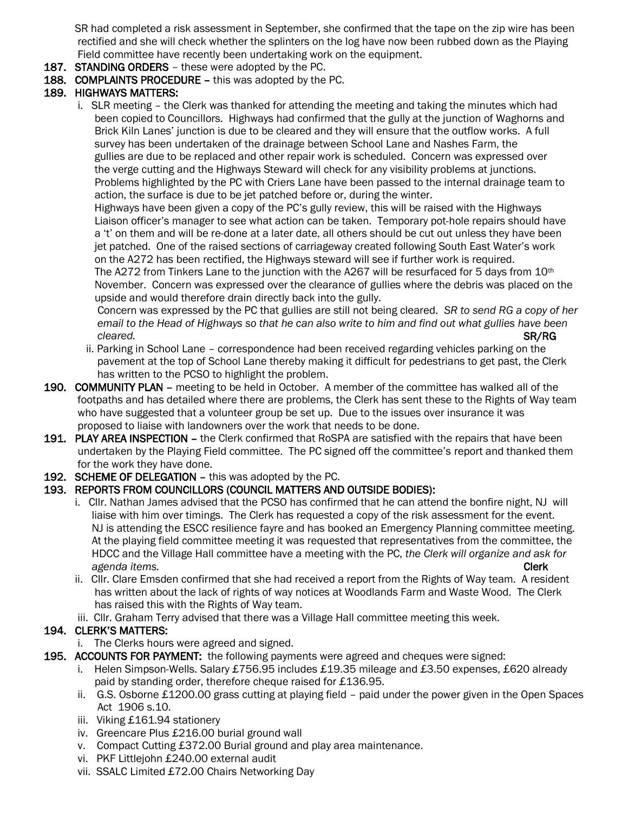SR had completed a risk assessment in September, she confirmed that the tape on the zip wire has been rectified and she will check whether the splinters on the log have now been rubbed down as the Playing Field committee have recently been undertaking work on the equipment.

- 187. STANDING ORDERS these were adopted by the PC.
- 188. COMPLAINTS PROCEDURE this was adopted by the PC.

#### 189. HIGHWAYS MATTERS:

 i. SLR meeting – the Clerk was thanked for attending the meeting and taking the minutes which had been copied to Councillors. Highways had confirmed that the gully at the junction of Waghorns and Brick Kiln Lanes' junction is due to be cleared and they will ensure that the outflow works. A full survey has been undertaken of the drainage between School Lane and Nashes Farm, the gullies are due to be replaced and other repair work is scheduled. Concern was expressed over the verge cutting and the Highways Steward will check for any visibility problems at junctions. Problems highlighted by the PC with Criers Lane have been passed to the internal drainage team to action, the surface is due to be jet patched before or, during the winter.

 Highways have been given a copy of the PC's gully review, this will be raised with the Highways Liaison officer's manager to see what action can be taken. Temporary pot-hole repairs should have a 't' on them and will be re-done at a later date, all others should be cut out unless they have been jet patched. One of the raised sections of carriageway created following South East Water's work on the A272 has been rectified, the Highways steward will see if further work is required. The A272 from Tinkers Lane to the junction with the A267 will be resurfaced for 5 days from 10<sup>th</sup> November. Concern was expressed over the clearance of gullies where the debris was placed on the upside and would therefore drain directly back into the gully.

 Concern was expressed by the PC that gullies are still not being cleared. *SR to send RG a copy of her email to the Head of Highways so that he can also write to him and find out what gullies have been cleared.* SR/RG

- ii. Parking in School Lane correspondence had been received regarding vehicles parking on the pavement at the top of School Lane thereby making it difficult for pedestrians to get past, the Clerk has written to the PCSO to highlight the problem.
- 190. COMMUNITY PLAN meeting to be held in October. A member of the committee has walked all of the footpaths and has detailed where there are problems, the Clerk has sent these to the Rights of Way team who have suggested that a volunteer group be set up. Due to the issues over insurance it was proposed to liaise with landowners over the work that needs to be done.
- 191. PLAY AREA INSPECTION the Clerk confirmed that RoSPA are satisfied with the repairs that have been undertaken by the Playing Field committee. The PC signed off the committee's report and thanked them for the work they have done.
- 192. SCHEME OF DELEGATION this was adopted by the PC.

#### 193. REPORTS FROM COUNCILLORS (COUNCIL MATTERS AND OUTSIDE BODIES):

- i. Cllr. Nathan James advised that the PCSO has confirmed that he can attend the bonfire night, NJ will liaise with him over timings. The Clerk has requested a copy of the risk assessment for the event. NJ is attending the ESCC resilience fayre and has booked an Emergency Planning committee meeting. At the playing field committee meeting it was requested that representatives from the committee, the HDCC and the Village Hall committee have a meeting with the PC, *the Clerk will organize and ask for agenda items.* Clerk
- ii. Cllr. Clare Emsden confirmed that she had received a report from the Rights of Way team. A resident has written about the lack of rights of way notices at Woodlands Farm and Waste Wood. The Clerk has raised this with the Rights of Way team.
- iii. Cllr. Graham Terry advised that there was a Village Hall committee meeting this week.

#### 194. CLERK'S MATTERS:

- i. The Clerks hours were agreed and signed.
- 195. ACCOUNTS FOR PAYMENT: the following payments were agreed and cheques were signed:
	- i. Helen Simpson-Wells. Salary £756.95 includes £19.35 mileage and £3.50 expenses, £620 already paid by standing order, therefore cheque raised for £136.95.
	- ii. G.S. Osborne £1200.00 grass cutting at playing field paid under the power given in the Open Spaces Act 1906 s.10.
	- iii. Viking £161.94 stationery
	- iv. Greencare Plus £216.00 burial ground wall
	- v. Compact Cutting £372.00 Burial ground and play area maintenance.
	- vi. PKF Littlejohn £240.00 external audit
	- vii. SSALC Limited £72.00 Chairs Networking Day